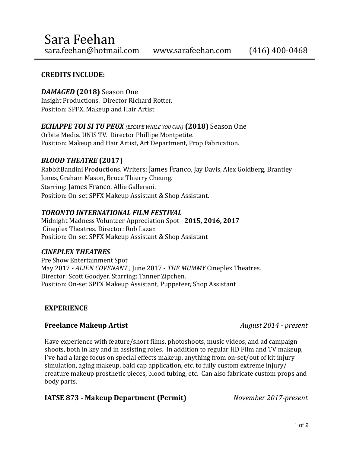#### **CREDITS INCLUDE:**

# *DAMAGED* **(2018)** Season One

Insight Productions. Director Richard Rotter. Position: SPFX, Makeup and Hair Artist

*ECHAPPE TOI SI TU PEUX (ESCAPE WHILE YOU CAN)* (2018) Season One

Orbite Media. UNIS TV. Director Phillipe Montpetite. Position: Makeup and Hair Artist, Art Department, Prop Fabrication.

### **BLOOD THEATRE** (2017)

RabbitBandini Productions. Writers: James Franco, Jay Davis, Alex Goldberg, Brantley Jones, Graham Mason, Bruce Thierry Cheung. Starring: James Franco, Allie Gallerani. Position: On-set SPFX Makeup Assistant & Shop Assistant.

#### **TORONTO INTERNATIONAL FILM FESTIVAL**

Midnight Madness Volunteer Appreciation Spot - 2015, 2016, 2017 Cineplex Theatres. Director: Rob Lazar. Position: On-set SPFX Makeup Assistant & Shop Assistant

### *CINEPLEX THEATRES*

Pre Show Entertainment Spot May 2017 - ALIEN COVENANT, June 2017 - THE MUMMY Cineplex Theatres. Director: Scott Goodyer. Starring: Tanner Zipchen. Position: On-set SPFX Makeup Assistant, Puppeteer, Shop Assistant

### **EXPERIENCE**

### **Freelance Makeup Artist** *August 2014 - present*

Have experience with feature/short films, photoshoots, music videos, and ad campaign shoots, both in key and in assisting roles. In addition to regular HD Film and TV makeup, I've had a large focus on special effects makeup, anything from on-set/out of kit injury simulation, aging makeup, bald cap application, etc. to fully custom extreme injury/ creature makeup prosthetic pieces, blood tubing, etc. Can also fabricate custom props and body parts.

### **IATSE 873 - Makeup Department (Permit)** *November 2017-present*